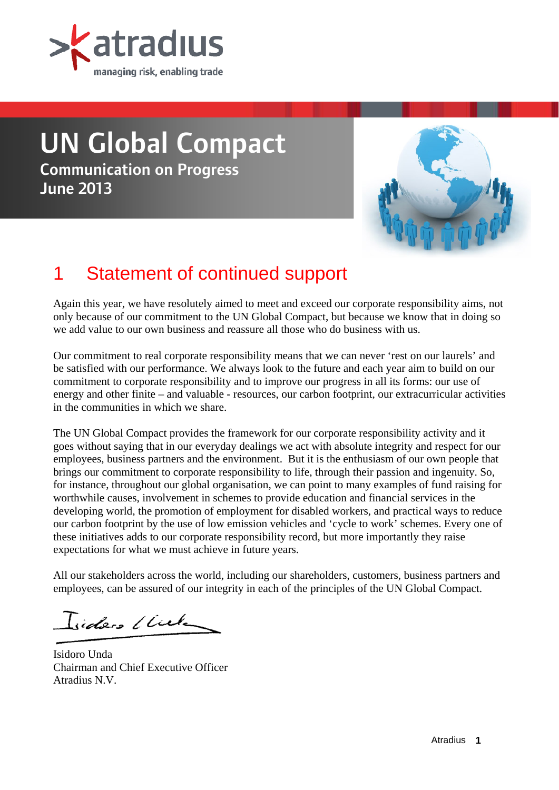

# UN Global Compact Communication on Progress June 2013



# 1 Statement of continued support

Again this year, we have resolutely aimed to meet and exceed our corporate responsibility aims, not only because of our commitment to the UN Global Compact, but because we know that in doing so we add value to our own business and reassure all those who do business with us.

Our commitment to real corporate responsibility means that we can never 'rest on our laurels' and be satisfied with our performance. We always look to the future and each year aim to build on our commitment to corporate responsibility and to improve our progress in all its forms: our use of energy and other finite – and valuable - resources, our carbon footprint, our extracurricular activities in the communities in which we share.

The UN Global Compact provides the framework for our corporate responsibility activity and it goes without saying that in our everyday dealings we act with absolute integrity and respect for our employees, business partners and the environment. But it is the enthusiasm of our own people that brings our commitment to corporate responsibility to life, through their passion and ingenuity. So, for instance, throughout our global organisation, we can point to many examples of fund raising for worthwhile causes, involvement in schemes to provide education and financial services in the developing world, the promotion of employment for disabled workers, and practical ways to reduce our carbon footprint by the use of low emission vehicles and 'cycle to work' schemes. Every one of these initiatives adds to our corporate responsibility record, but more importantly they raise expectations for what we must achieve in future years.

All our stakeholders across the world, including our shareholders, customers, business partners and employees, can be assured of our integrity in each of the principles of the UN Global Compact.

Iides Club

Isidoro Unda Chairman and Chief Executive Officer Atradius N.V.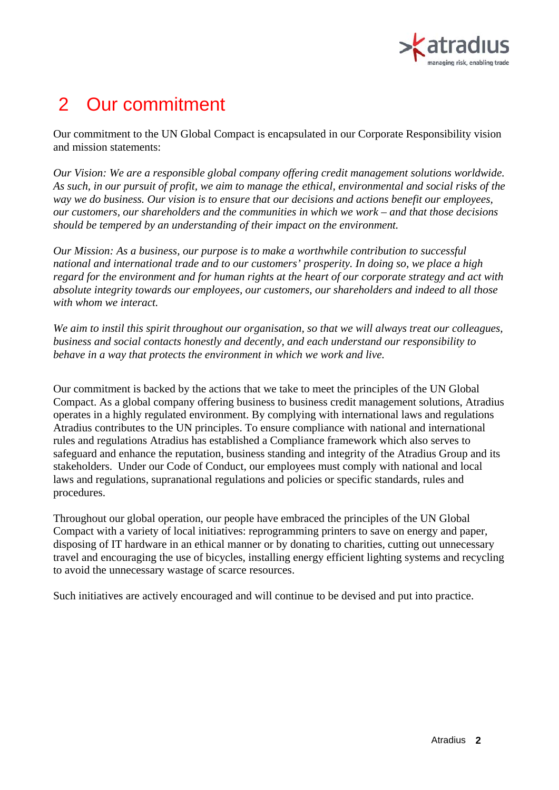

# 2 Our commitment

Our commitment to the UN Global Compact is encapsulated in our Corporate Responsibility vision and mission statements:

*Our Vision: We are a responsible global company offering credit management solutions worldwide. As such, in our pursuit of profit, we aim to manage the ethical, environmental and social risks of the way we do business. Our vision is to ensure that our decisions and actions benefit our employees, our customers, our shareholders and the communities in which we work – and that those decisions should be tempered by an understanding of their impact on the environment.* 

*Our Mission: As a business, our purpose is to make a worthwhile contribution to successful national and international trade and to our customers' prosperity. In doing so, we place a high regard for the environment and for human rights at the heart of our corporate strategy and act with absolute integrity towards our employees, our customers, our shareholders and indeed to all those with whom we interact.* 

*We aim to instil this spirit throughout our organisation, so that we will always treat our colleagues, business and social contacts honestly and decently, and each understand our responsibility to behave in a way that protects the environment in which we work and live.* 

Our commitment is backed by the actions that we take to meet the principles of the UN Global Compact. As a global company offering business to business credit management solutions, Atradius operates in a highly regulated environment. By complying with international laws and regulations Atradius contributes to the UN principles. To ensure compliance with national and international rules and regulations Atradius has established a Compliance framework which also serves to safeguard and enhance the reputation, business standing and integrity of the Atradius Group and its stakeholders. Under our Code of Conduct, our employees must comply with national and local laws and regulations, supranational regulations and policies or specific standards, rules and procedures.

Throughout our global operation, our people have embraced the principles of the UN Global Compact with a variety of local initiatives: reprogramming printers to save on energy and paper, disposing of IT hardware in an ethical manner or by donating to charities, cutting out unnecessary travel and encouraging the use of bicycles, installing energy efficient lighting systems and recycling to avoid the unnecessary wastage of scarce resources.

Such initiatives are actively encouraged and will continue to be devised and put into practice.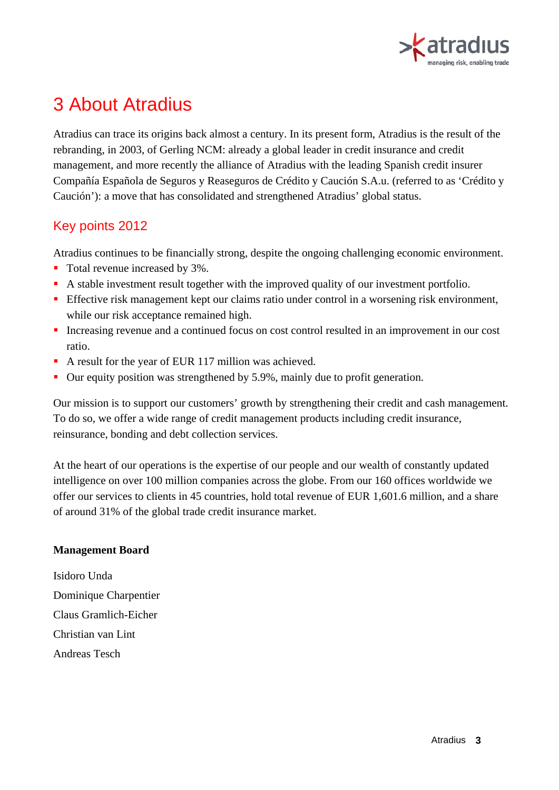

# 3 About Atradius

Atradius can trace its origins back almost a century. In its present form, Atradius is the result of the rebranding, in 2003, of Gerling NCM: already a global leader in credit insurance and credit management, and more recently the alliance of Atradius with the leading Spanish credit insurer Compañía Española de Seguros y Reaseguros de Crédito y Caución S.A.u. (referred to as 'Crédito y Caución'): a move that has consolidated and strengthened Atradius' global status.

#### Key points 2012

Atradius continues to be financially strong, despite the ongoing challenging economic environment.

- Total revenue increased by 3%.
- A stable investment result together with the improved quality of our investment portfolio.
- **Effective risk management kept our claims ratio under control in a worsening risk environment,** while our risk acceptance remained high.
- Increasing revenue and a continued focus on cost control resulted in an improvement in our cost ratio.
- A result for the year of EUR 117 million was achieved.
- Our equity position was strengthened by 5.9%, mainly due to profit generation.

Our mission is to support our customers' growth by strengthening their credit and cash management. To do so, we offer a wide range of credit management products including credit insurance, reinsurance, bonding and debt collection services.

At the heart of our operations is the expertise of our people and our wealth of constantly updated intelligence on over 100 million companies across the globe. From our 160 offices worldwide we offer our services to clients in 45 countries, hold total revenue of EUR 1,601.6 million, and a share of around 31% of the global trade credit insurance market.

#### **Management Board**

Isidoro Unda Dominique Charpentier Claus Gramlich-Eicher Christian van Lint Andreas Tesch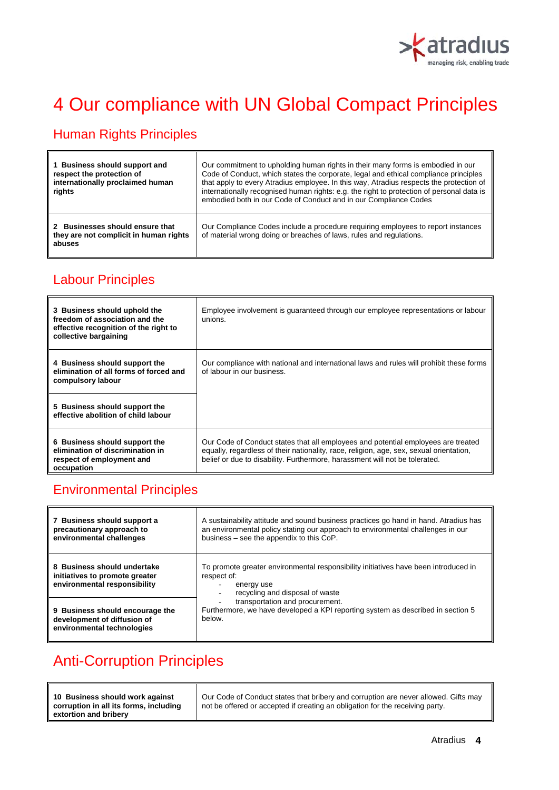

# 4 Our compliance with UN Global Compact Principles

## Human Rights Principles

| 1 Business should support and<br>respect the protection of<br>internationally proclaimed human<br>rights | Our commitment to upholding human rights in their many forms is embodied in our<br>Code of Conduct, which states the corporate, legal and ethical compliance principles<br>that apply to every Atradius employee. In this way, Atradius respects the protection of<br>internationally recognised human rights: e.g. the right to protection of personal data is<br>embodied both in our Code of Conduct and in our Compliance Codes |
|----------------------------------------------------------------------------------------------------------|-------------------------------------------------------------------------------------------------------------------------------------------------------------------------------------------------------------------------------------------------------------------------------------------------------------------------------------------------------------------------------------------------------------------------------------|
| 2 Businesses should ensure that<br>they are not complicit in human rights<br>abuses                      | Our Compliance Codes include a procedure requiring employees to report instances<br>of material wrong doing or breaches of laws, rules and regulations.                                                                                                                                                                                                                                                                             |

### Labour Principles

| 3 Business should uphold the<br>freedom of association and the<br>effective recognition of the right to<br>collective bargaining | Employee involvement is quaranteed through our employee representations or labour<br>unions.                                                                                                                                                                |
|----------------------------------------------------------------------------------------------------------------------------------|-------------------------------------------------------------------------------------------------------------------------------------------------------------------------------------------------------------------------------------------------------------|
| 4 Business should support the<br>elimination of all forms of forced and<br>compulsory labour                                     | Our compliance with national and international laws and rules will prohibit these forms<br>of labour in our business.                                                                                                                                       |
| 5 Business should support the<br>effective abolition of child labour                                                             |                                                                                                                                                                                                                                                             |
| 6 Business should support the<br>elimination of discrimination in<br>respect of employment and<br>occupation                     | Our Code of Conduct states that all employees and potential employees are treated<br>equally, regardless of their nationality, race, religion, age, sex, sexual orientation,<br>belief or due to disability. Furthermore, harassment will not be tolerated. |

#### Environmental Principles

| 7 Business should support a<br>precautionary approach to<br>environmental challenges          | A sustainability attitude and sound business practices go hand in hand. Atradius has<br>an environmental policy stating our approach to environmental challenges in our<br>business – see the appendix to this CoP.                                                                 |
|-----------------------------------------------------------------------------------------------|-------------------------------------------------------------------------------------------------------------------------------------------------------------------------------------------------------------------------------------------------------------------------------------|
| 8 Business should undertake<br>initiatives to promote greater<br>environmental responsibility | To promote greater environmental responsibility initiatives have been introduced in<br>respect of:<br>energy use<br>recycling and disposal of waste<br>transportation and procurement.<br>Furthermore, we have developed a KPI reporting system as described in section 5<br>helow. |
| 9 Business should encourage the<br>development of diffusion of<br>environmental technologies  |                                                                                                                                                                                                                                                                                     |

## Anti-Corruption Principles

| 10 Business should work against        | Our Code of Conduct states that bribery and corruption are never allowed. Gifts may |
|----------------------------------------|-------------------------------------------------------------------------------------|
| corruption in all its forms, including | not be offered or accepted if creating an obligation for the receiving party.       |
| extortion and bribery                  |                                                                                     |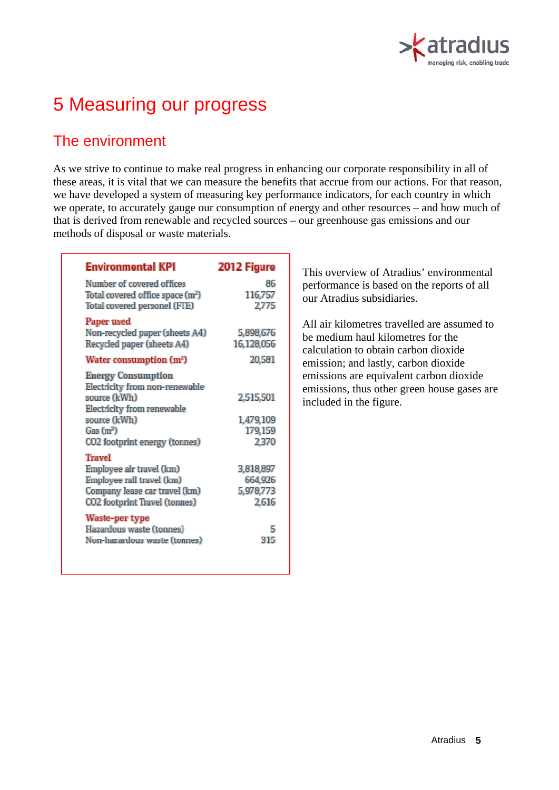

# 5 Measuring our progress

### The environment

As we strive to continue to make real progress in enhancing our corporate responsibility in all of these areas, it is vital that we can measure the benefits that accrue from our actions. For that reason, we have developed a system of measuring key performance indicators, for each country in which we operate, to accurately gauge our consumption of energy and other resources – and how much of that is derived from renewable and recycled sources – our greenhouse gas emissions and our methods of disposal or waste materials.

| <b>Environmental KPI</b>                                                                                                                                                                  | 2012 Figure                                |
|-------------------------------------------------------------------------------------------------------------------------------------------------------------------------------------------|--------------------------------------------|
| Number of covered offices<br>Total covered office space (m <sup>2</sup> )<br>Total covered personel (FTE)                                                                                 | 86<br>116,757<br>2,775                     |
| Paper used<br>Non-recycled paper (sheets A4)<br>Recycled paper (sheets A4)                                                                                                                | 5,898,676<br>16,128,056                    |
| Water consumption (m <sup>3</sup> )                                                                                                                                                       | 20,581                                     |
| <b>Energy Consumption</b><br>Electricity from non-renewable<br>source (kWh)<br><b>Electricity from renewable</b><br>source (kWh)<br>Gas(m <sup>3</sup> )<br>CO2 footprint energy (tonnes) | 2,515,501<br>1,479,109<br>179,159<br>2,370 |
| <b>Travel</b><br>Employee air travel (km)<br>Employee rail travel (km)<br>Company lease car travel (km)<br>CO2 footprint Travel (tonnes)                                                  | 3,818,897<br>664,926<br>5,978,773<br>2,616 |
| Waste-per type<br>Hazardous waste (tonnes)<br>Non-hazardous waste (tonnes)                                                                                                                | 5<br>315                                   |

This overview of Atradius' environmental performance is based on the reports of all our Atradius subsidiaries.

All air kilometres travelled are assumed to be medium haul kilometres for the calculation to obtain carbon dioxide emission; and lastly, carbon dioxide emissions are equivalent carbon dioxide emissions, thus other green house gases are included in the figure.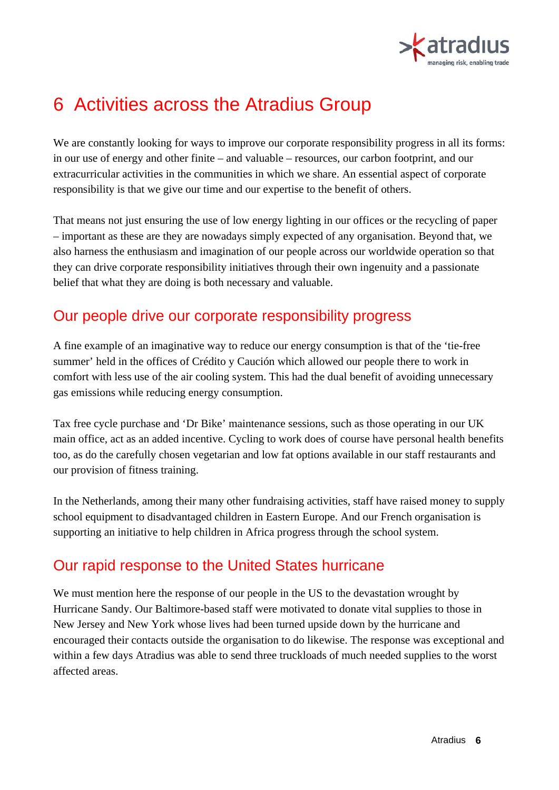

## 6 Activities across the Atradius Group

We are constantly looking for ways to improve our corporate responsibility progress in all its forms: in our use of energy and other finite – and valuable – resources, our carbon footprint, and our extracurricular activities in the communities in which we share. An essential aspect of corporate responsibility is that we give our time and our expertise to the benefit of others.

That means not just ensuring the use of low energy lighting in our offices or the recycling of paper – important as these are they are nowadays simply expected of any organisation. Beyond that, we also harness the enthusiasm and imagination of our people across our worldwide operation so that they can drive corporate responsibility initiatives through their own ingenuity and a passionate belief that what they are doing is both necessary and valuable.

### Our people drive our corporate responsibility progress

A fine example of an imaginative way to reduce our energy consumption is that of the 'tie-free summer' held in the offices of Crédito y Caución which allowed our people there to work in comfort with less use of the air cooling system. This had the dual benefit of avoiding unnecessary gas emissions while reducing energy consumption.

Tax free cycle purchase and 'Dr Bike' maintenance sessions, such as those operating in our UK main office, act as an added incentive. Cycling to work does of course have personal health benefits too, as do the carefully chosen vegetarian and low fat options available in our staff restaurants and our provision of fitness training.

In the Netherlands, among their many other fundraising activities, staff have raised money to supply school equipment to disadvantaged children in Eastern Europe. And our French organisation is supporting an initiative to help children in Africa progress through the school system.

## Our rapid response to the United States hurricane

We must mention here the response of our people in the US to the devastation wrought by Hurricane Sandy. Our Baltimore-based staff were motivated to donate vital supplies to those in New Jersey and New York whose lives had been turned upside down by the hurricane and encouraged their contacts outside the organisation to do likewise. The response was exceptional and within a few days Atradius was able to send three truckloads of much needed supplies to the worst affected areas.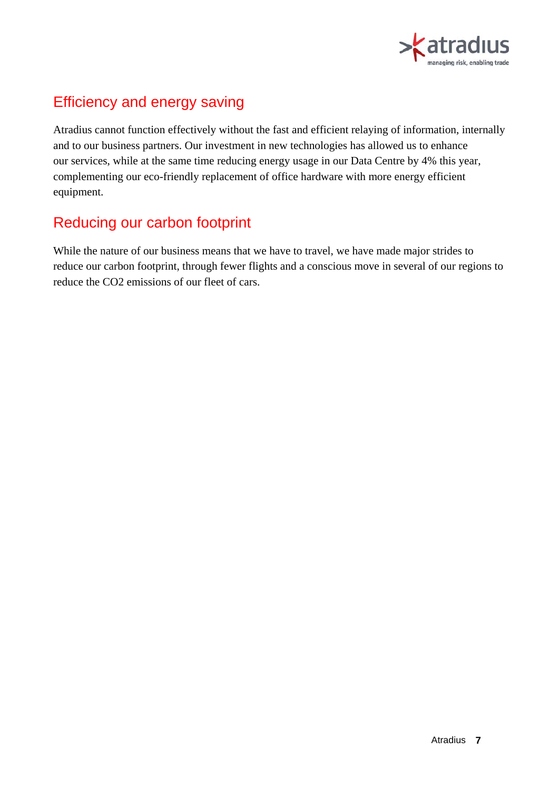

## Efficiency and energy saving

Atradius cannot function effectively without the fast and efficient relaying of information, internally and to our business partners. Our investment in new technologies has allowed us to enhance our services, while at the same time reducing energy usage in our Data Centre by 4% this year, complementing our eco-friendly replacement of office hardware with more energy efficient equipment.

## Reducing our carbon footprint

While the nature of our business means that we have to travel, we have made major strides to reduce our carbon footprint, through fewer flights and a conscious move in several of our regions to reduce the CO2 emissions of our fleet of cars.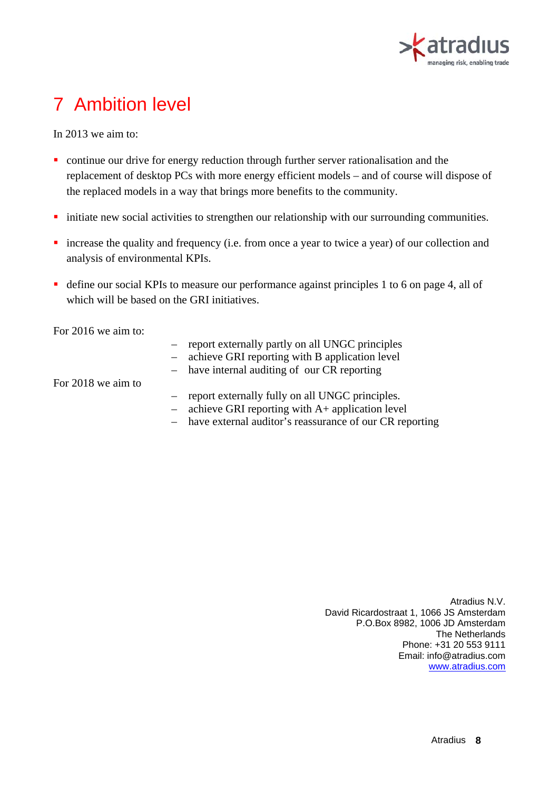

# 7 Ambition level

In 2013 we aim to:

- continue our drive for energy reduction through further server rationalisation and the replacement of desktop PCs with more energy efficient models – and of course will dispose of the replaced models in a way that brings more benefits to the community.
- initiate new social activities to strengthen our relationship with our surrounding communities.
- **n** increase the quality and frequency (i.e. from once a year to twice a year) of our collection and analysis of environmental KPIs.
- define our social KPIs to measure our performance against principles 1 to 6 on page 4, all of which will be based on the GRI initiatives.

For 2016 we aim to:

- report externally partly on all UNGC principles
- achieve GRI reporting with B application level
- have internal auditing of our CR reporting

For 2018 we aim to

- report externally fully on all UNGC principles.
- achieve GRI reporting with A+ application level
- have external auditor's reassurance of our CR reporting

Atradius N.V. David Ricardostraat 1, 1066 JS Amsterdam P.O.Box 8982, 1006 JD Amsterdam The Netherlands Phone: +31 20 553 9111 Email: info@atradius.com www.atradius.com